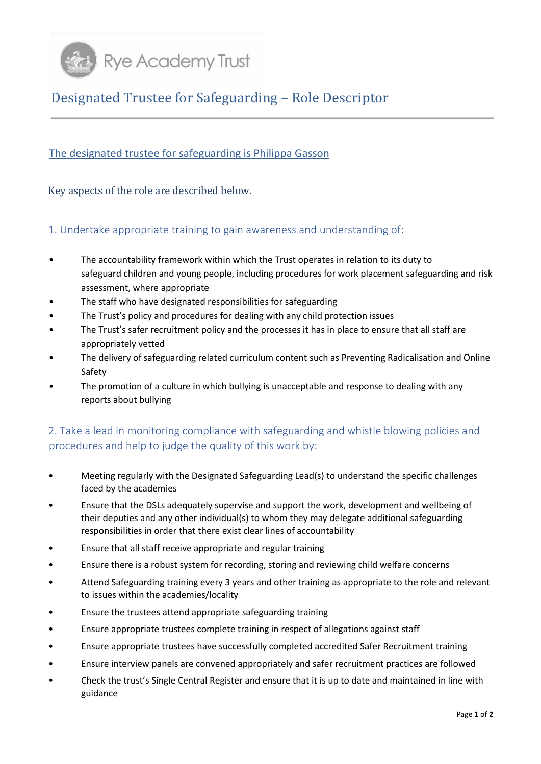

## Designated Trustee for Safeguarding – Role Descriptor

## The designated trustee for safeguarding is Philippa Gasson

Key aspects of the role are described below.

## 1. Undertake appropriate training to gain awareness and understanding of:

- The accountability framework within which the Trust operates in relation to its duty to safeguard children and young people, including procedures for work placement safeguarding and risk assessment, where appropriate
- The staff who have designated responsibilities for safeguarding
- The Trust's policy and procedures for dealing with any child protection issues
- The Trust's safer recruitment policy and the processes it has in place to ensure that all staff are appropriately vetted
- The delivery of safeguarding related curriculum content such as Preventing Radicalisation and Online Safety
- The promotion of a culture in which bullying is unacceptable and response to dealing with any reports about bullying

## 2. Take a lead in monitoring compliance with safeguarding and whistle blowing policies and procedures and help to judge the quality of this work by:

- Meeting regularly with the Designated Safeguarding Lead(s) to understand the specific challenges faced by the academies
- Ensure that the DSLs adequately supervise and support the work, development and wellbeing of their deputies and any other individual(s) to whom they may delegate additional safeguarding responsibilities in order that there exist clear lines of accountability
- Ensure that all staff receive appropriate and regular training
- Ensure there is a robust system for recording, storing and reviewing child welfare concerns
- Attend Safeguarding training every 3 years and other training as appropriate to the role and relevant to issues within the academies/locality
- Ensure the trustees attend appropriate safeguarding training
- Ensure appropriate trustees complete training in respect of allegations against staff
- Ensure appropriate trustees have successfully completed accredited Safer Recruitment training
- Ensure interview panels are convened appropriately and safer recruitment practices are followed
- Check the trust's Single Central Register and ensure that it is up to date and maintained in line with guidance